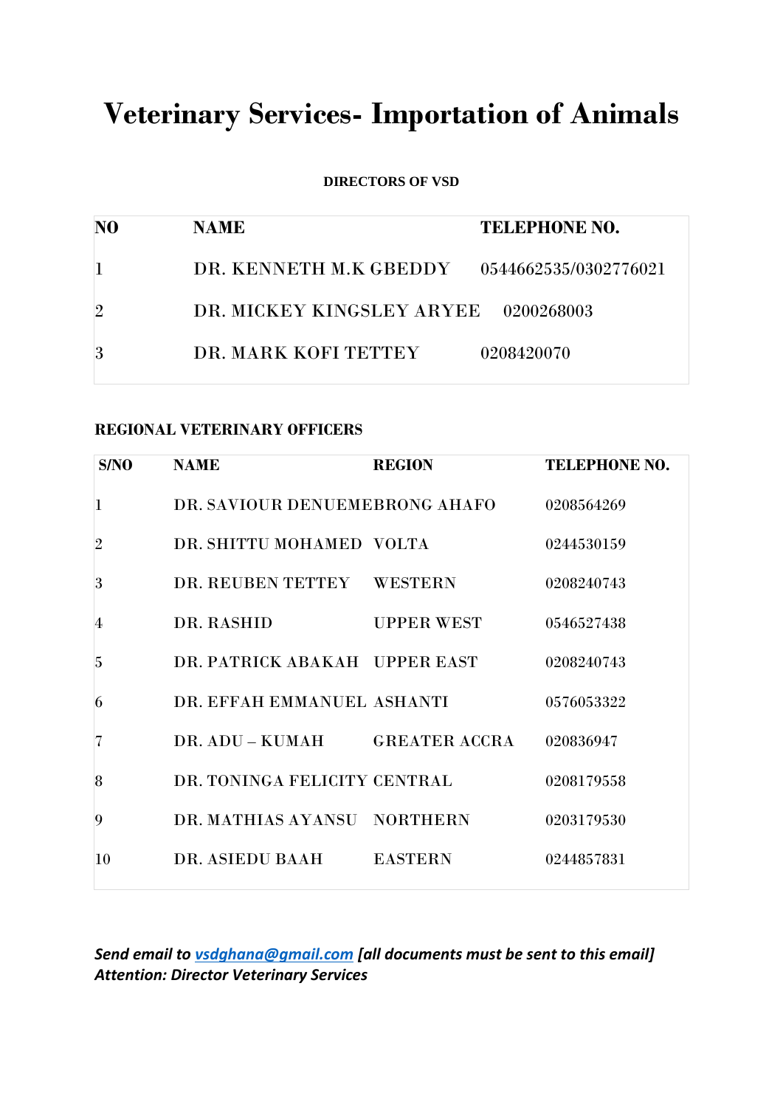# **Veterinary Services- Importation of Animals**

**DIRECTORS OF VSD**

| N <sub>0</sub> | <b>NAME</b>                          | <b>TELEPHONE NO.</b>  |
|----------------|--------------------------------------|-----------------------|
|                | DR. KENNETH M.K GBEDDY               | 0544662535/0302776021 |
| $\overline{2}$ | DR. MICKEY KINGSLEY ARYEE 0200268003 |                       |
|                | DR. MARK KOFI TETTEY                 | 0208420070            |

#### **REGIONAL VETERINARY OFFICERS**

| S/NO           | <b>NAME</b>                    | <b>REGION</b>     | <b>TELEPHONE NO.</b> |
|----------------|--------------------------------|-------------------|----------------------|
| $\mathbf{I}$   | DR. SAVIOUR DENUEMEBRONG AHAFO |                   | 0208564269           |
| $\overline{2}$ | DR. SHITTU MOHAMED VOLTA       |                   | 0244530159           |
| 3              | DR. REUBEN TETTEY              | <b>WESTERN</b>    | 0208240743           |
| 4              | DR. RASHID                     | <b>UPPER WEST</b> | 0546527438           |
| 5              | DR. PATRICK ABAKAH UPPER EAST  |                   | 0208240743           |
| 6              | DR. EFFAH EMMANUEL ASHANTI     |                   | 0576053322           |
| 7              | DR. ADU – KUMAH GREATER ACCRA  |                   | 020836947            |
| 8              | DR. TONINGA FELICITY CENTRAL   |                   | 0208179558           |
| 9              | DR. MATHIAS AYANSU NORTHERN    |                   | 0203179530           |
| 10             | DR. ASIEDU BAAH                | <b>EASTERN</b>    | 0244857831           |
|                |                                |                   |                      |

*Send email to [vsdghana@gmail.com](mailto:vsdghana@gmail.com) [all documents must be sent to this email] Attention: Director Veterinary Services*